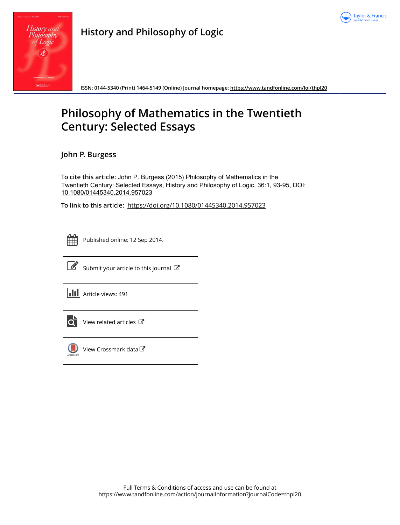

| History and<br>Philosophy<br>of Logic                                             |  |
|-----------------------------------------------------------------------------------|--|
| <b>Identification</b><br>1. Dawson and V. Peckhaus<br><b>Taylor &amp; Francis</b> |  |

**History and Philosophy of Logic**

**ISSN: 0144-5340 (Print) 1464-5149 (Online) Journal homepage:<https://www.tandfonline.com/loi/thpl20>**

## **Philosophy of Mathematics in the Twentieth Century: Selected Essays**

**John P. Burgess**

**To cite this article:** John P. Burgess (2015) Philosophy of Mathematics in the Twentieth Century: Selected Essays, History and Philosophy of Logic, 36:1, 93-95, DOI: [10.1080/01445340.2014.957023](https://www.tandfonline.com/action/showCitFormats?doi=10.1080/01445340.2014.957023)

**To link to this article:** <https://doi.org/10.1080/01445340.2014.957023>



Published online: 12 Sep 2014.



 $\overrightarrow{S}$  [Submit your article to this journal](https://www.tandfonline.com/action/authorSubmission?journalCode=thpl20&show=instructions)  $\overrightarrow{S}$ 

**III** Article views: 491



 $\overline{\mathbf{C}}$  [View related articles](https://www.tandfonline.com/doi/mlt/10.1080/01445340.2014.957023)  $\mathbf{C}$ 



[View Crossmark data](http://crossmark.crossref.org/dialog/?doi=10.1080/01445340.2014.957023&domain=pdf&date_stamp=2014-09-12) $\mathbb{C}$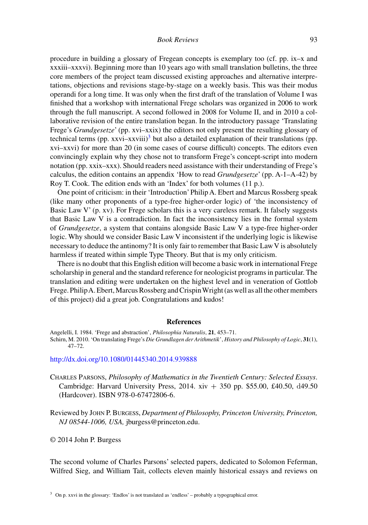procedure in building a glossary of Fregean concepts is exemplary too (cf. pp. ix–x and xxxiii–xxxvi). Beginning more than 10 years ago with small translation bulletins, the three core members of the project team discussed existing approaches and alternative interpretations, objections and revisions stage-by-stage on a weekly basis. This was their modus operandi for a long time. It was only when the first draft of the translation of Volume I was finished that a workshop with international Frege scholars was organized in 2006 to work through the full manuscript. A second followed in 2008 for Volume II, and in 2010 a collaborative revision of the entire translation began. In the introductory passage 'Translating Frege's *Grundgesetze*' (pp. xvi–xxix) the editors not only present the resulting glossary of technical terms (pp. xxvi–xxviii)<sup>3</sup> but also a detailed explanation of their translations (pp. xvi–xxvi) for more than 20 (in some cases of course difficult) concepts. The editors even convincingly explain why they chose not to transform Frege's concept-script into modern notation (pp. xxix–xxx). Should readers need assistance with their understanding of Frege's calculus, the edition contains an appendix 'How to read *Grundgesetze*' (pp. A-1–A-42) by Roy T. Cook. The edition ends with an 'Index' for both volumes (11 p.).

One point of criticism: in their 'Introduction' Philip A. Ebert and Marcus Rossberg speak (like many other proponents of a type-free higher-order logic) of 'the inconsistency of Basic Law V' (p. xv). For Frege scholars this is a very careless remark. It falsely suggests that Basic Law V is a contradiction. In fact the inconsistency lies in the formal system of *Grundgesetze*, a system that contains alongside Basic Law V a type-free higher-order logic. Why should we consider Basic Law V inconsistent if the underlying logic is likewise necessary to deduce the antinomy? It is only fair to remember that Basic Law V is absolutely harmless if treated within simple Type Theory. But that is my only criticism.

There is no doubt that this English edition will become a basic work in international Frege scholarship in general and the standard reference for neologicist programs in particular. The translation and editing were undertaken on the highest level and in veneration of Gottlob Frege. PhilipA. Ebert, Marcus Rossberg and CrispinWright (as well as all the other members of this project) did a great job. Congratulations and kudos!

## **References**

Schirn, M. 2010. 'On translating Frege's *Die Grundlagen der Arithmetik*', *History and Philosophy of Logic*, **31**(1), 47–72.

## <http://dx.doi.org/10.1080/01445340.2014.939888>

Charles Parsons, *Philosophy of Mathematics in the Twentieth Century: Selected Essays*. Cambridge: Harvard University Press, 2014. xiv  $+$  350 pp. \$55.00, £40.50, d49.50 (Hardcover). ISBN 978-0-67472806-6.

Reviewed by John P. Burgess, *Department of Philosophy, Princeton University, Princeton, NJ 08544-1006, USA,* jburgess@princeton.edu.

© 2014 John P. Burgess

The second volume of Charles Parsons' selected papers, dedicated to Solomon Feferman, Wilfred Sieg, and William Tait, collects eleven mainly historical essays and reviews on

Angelelli, I. 1984. 'Frege and abstraction', *Philosophia Naturalis*, **21**, 453–71.

<sup>&</sup>lt;sup>3</sup> On p. xxvi in the glossary: 'Endlos' is not translated as 'endless' – probably a typographical error.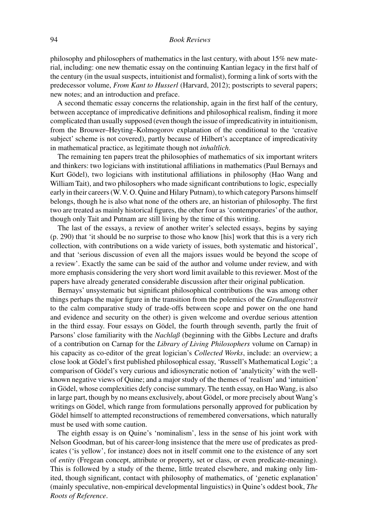philosophy and philosophers of mathematics in the last century, with about 15% new material, including: one new thematic essay on the continuing Kantian legacy in the first half of the century (in the usual suspects, intuitionist and formalist), forming a link of sorts with the predecessor volume, *From Kant to Husserl* (Harvard, 2012); postscripts to several papers; new notes; and an introduction and preface.

A second thematic essay concerns the relationship, again in the first half of the century, between acceptance of impredicative definitions and philosophical realism, finding it more complicated than usually supposed (even though the issue of impredicativity in intuitionism, from the Brouwer–Heyting–Kolmogorov explanation of the conditional to the 'creative subject' scheme is not covered), partly because of Hilbert's acceptance of impredicativity in mathematical practice, as legitimate though not *inhaltlich*.

The remaining ten papers treat the philosophies of mathematics of six important writers and thinkers: two logicians with institutional affiliations in mathematics (Paul Bernays and Kurt Gödel), two logicians with institutional affiliations in philosophy (Hao Wang and William Tait), and two philosophers who made significant contributions to logic, especially early in their careers (W.V. O. Quine and Hilary Putnam), to which category Parsons himself belongs, though he is also what none of the others are, an historian of philosophy. The first two are treated as mainly historical figures, the other four as 'contemporaries' of the author, though only Tait and Putnam are still living by the time of this writing.

The last of the essays, a review of another writer's selected essays, begins by saying (p. 290) that 'it should be no surprise to those who know [his] work that this is a very rich collection, with contributions on a wide variety of issues, both systematic and historical', and that 'serious discussion of even all the majors issues would be beyond the scope of a review'. Exactly the same can be said of the author and volume under review, and with more emphasis considering the very short word limit available to this reviewer. Most of the papers have already generated considerable discussion after their original publication.

Bernays' unsystematic but significant philosophical contributions (he was among other things perhaps the major figure in the transition from the polemics of the *Grundlagenstreit* to the calm comparative study of trade-offs between scope and power on the one hand and evidence and security on the other) is given welcome and overdue serious attention in the third essay. Four essays on Gödel, the fourth through seventh, partly the fruit of Parsons' close familiarity with the *Nachlaß* (beginning with the Gibbs Lecture and drafts of a contribution on Carnap for the *Library of Living Philosophers* volume on Carnap) in his capacity as co-editor of the great logician's *Collected Works*, include: an overview; a close look at Gödel's first published philosophical essay, 'Russell's Mathematical Logic'; a comparison of Gödel's very curious and idiosyncratic notion of 'analyticity' with the wellknown negative views of Quine; and a major study of the themes of 'realism' and 'intuition' in Gödel, whose complexities defy concise summary. The tenth essay, on Hao Wang, is also in large part, though by no means exclusively, about Gödel, or more precisely about Wang's writings on Gödel, which range from formulations personally approved for publication by Gödel himself to attempted reconstructions of remembered conversations, which naturally must be used with some caution.

The eighth essay is on Quine's 'nominalism', less in the sense of his joint work with Nelson Goodman, but of his career-long insistence that the mere use of predicates as predicates ('is yellow', for instance) does not in itself commit one to the existence of any sort of *entity* (Fregean concept, attribute or property, set or class, or even predicate-meaning). This is followed by a study of the theme, little treated elsewhere, and making only limited, though significant, contact with philosophy of mathematics, of 'genetic explanation' (mainly speculative, non-empirical developmental linguistics) in Quine's oddest book, *The Roots of Reference*.